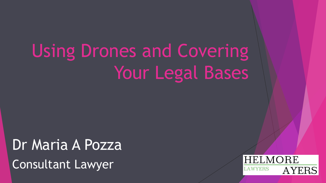# Using Drones and Covering Your Legal Bases

Dr Maria A Pozza Consultant Lawyer

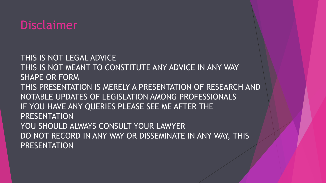#### Disclaimer

THIS IS NOT LEGAL ADVICE THIS IS NOT MEANT TO CONSTITUTE ANY ADVICE IN ANY WAY SHAPE OR FORM THIS PRESENTATION IS MERELY A PRESENTATION OF RESEARCH AND NOTABLE UPDATES OF LEGISLATION AMONG PROFESSIONALS IF YOU HAVE ANY QUERIES PLEASE SEE ME AFTER THE **PRESENTATION** YOU SHOULD ALWAYS CONSULT YOUR LAWYER DO NOT RECORD IN ANY WAY OR DISSEMINATE IN ANY WAY, THIS **PRESENTATION**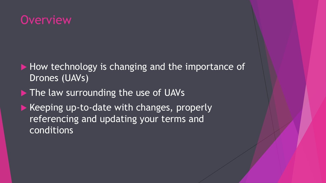#### **Overview**

- How technology is changing and the importance of Drones (UAVs)
- The law surrounding the use of UAVs
- $\blacktriangleright$  Keeping up-to-date with changes, properly referencing and updating your terms and conditions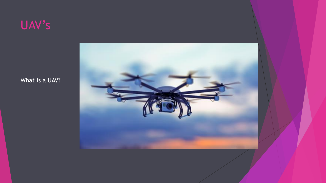

What is a UAV?

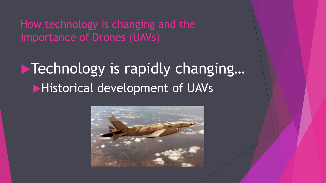How technology is changing and the importance of Drones (UAVs)

# **Technology is rapidly changing... Historical development of UAVs**

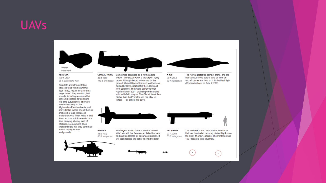#### UAVs



 $\pmb{\star}$ 

 $\sigma$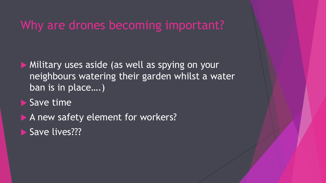#### Why are drones becoming important?

**Military uses aside (as well as spying on your** neighbours watering their garden whilst a water ban is in place….)

 $\blacktriangleright$  Save time

A new safety element for workers? Save lives???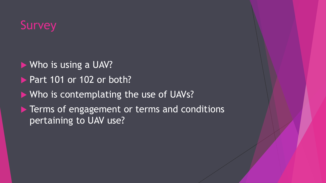# **Survey**

- ▶ Who is using a UAV?
- $\blacktriangleright$  Part 101 or 102 or both?
- Who is contemplating the use of UAVs?
- **Fig. 2** Terms of engagement or terms and conditions pertaining to UAV use?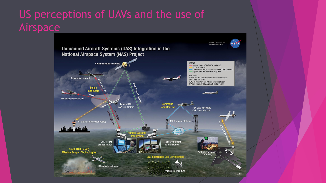#### US perceptions of UAVs and the use of Airspace

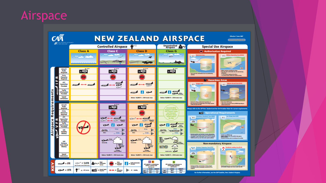#### Airspace

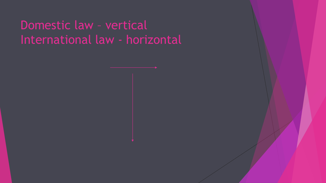# Domestic law – vertical International law - horizontal

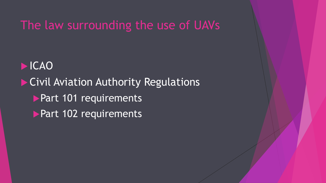The law surrounding the use of UAVs

 ICAO **Civil Aviation Authority Regulations Part 101 requirements** Part 102 requirements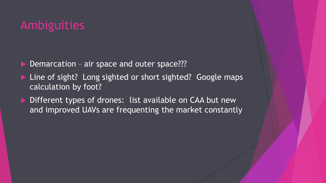## Ambiguities

- Demarcation air space and outer space???
- Line of sight? Long sighted or short sighted? Google maps calculation by foot?
- ▶ Different types of drones: list available on CAA but new and improved UAVs are frequenting the market constantly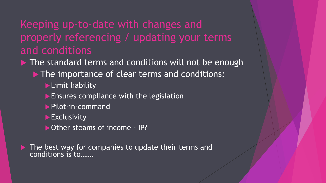#### Keeping up-to-date with changes and properly referencing / updating your terms and conditions

 $\blacktriangleright$  The standard terms and conditions will not be enough

- The importance of clear terms and conditions:
	- **Limit liability**
	- $\blacktriangleright$  Ensures compliance with the legislation
	- ▶ Pilot-in-command
	- $\blacktriangleright$  Exclusivity
	- ▶ Other steams of income IP?

 $\blacktriangleright$  The best way for companies to update their terms and conditions is to…….